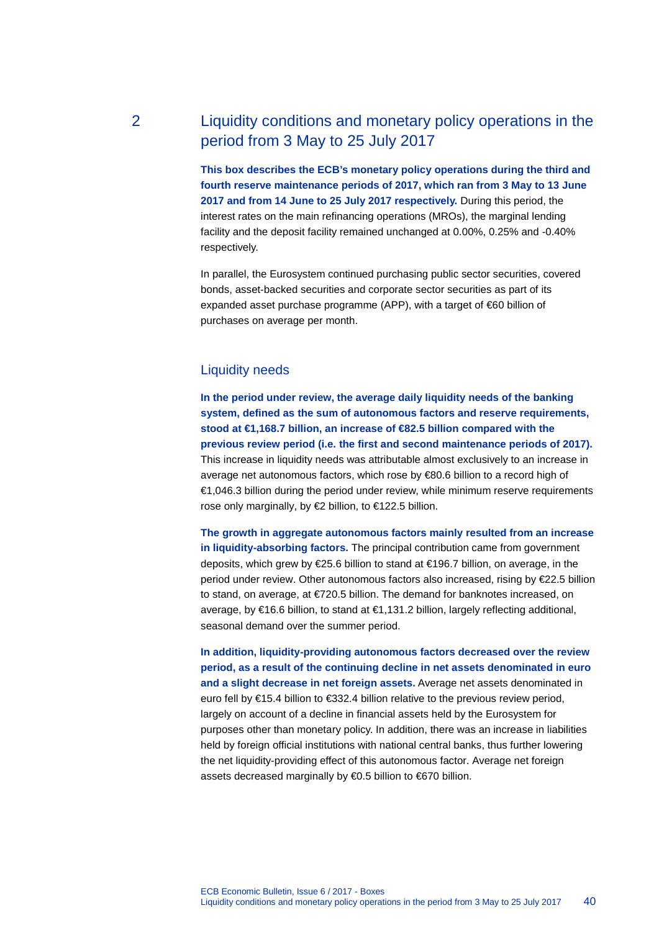# 2 Liquidity conditions and monetary policy operations in the period from 3 May to 25 July 2017

**This box describes the ECB's monetary policy operations during the third and fourth reserve maintenance periods of 2017, which ran from 3 May to 13 June 2017 and from 14 June to 25 July 2017 respectively.** During this period, the interest rates on the main refinancing operations (MROs), the marginal lending facility and the deposit facility remained unchanged at 0.00%, 0.25% and -0.40% respectively.

In parallel, the Eurosystem continued purchasing public sector securities, covered bonds, asset-backed securities and corporate sector securities as part of its expanded asset purchase programme (APP), with a target of €60 billion of purchases on average per month.

### Liquidity needs

**In the period under review, the average daily liquidity needs of the banking system, defined as the sum of autonomous factors and reserve requirements, stood at €1,168.7 billion, an increase of €82.5 billion compared with the previous review period (i.e. the first and second maintenance periods of 2017).** This increase in liquidity needs was attributable almost exclusively to an increase in average net autonomous factors, which rose by €80.6 billion to a record high of €1,046.3 billion during the period under review, while minimum reserve requirements rose only marginally, by €2 billion, to €122.5 billion.

**The growth in aggregate autonomous factors mainly resulted from an increase in liquidity-absorbing factors.** The principal contribution came from government deposits, which grew by €25.6 billion to stand at €196.7 billion, on average, in the period under review. Other autonomous factors also increased, rising by €22.5 billion to stand, on average, at €720.5 billion. The demand for banknotes increased, on average, by €16.6 billion, to stand at €1,131.2 billion, largely reflecting additional, seasonal demand over the summer period.

**In addition, liquidity-providing autonomous factors decreased over the review period, as a result of the continuing decline in net assets denominated in euro and a slight decrease in net foreign assets.** Average net assets denominated in euro fell by €15.4 billion to €332.4 billion relative to the previous review period, largely on account of a decline in financial assets held by the Eurosystem for purposes other than monetary policy. In addition, there was an increase in liabilities held by foreign official institutions with national central banks, thus further lowering the net liquidity-providing effect of this autonomous factor. Average net foreign assets decreased marginally by €0.5 billion to €670 billion.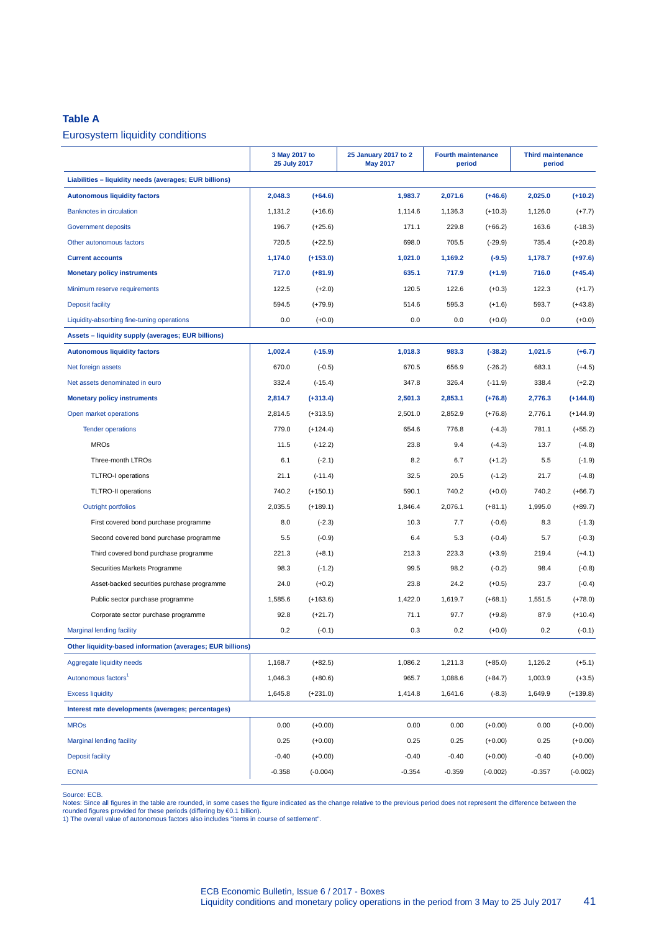#### **Table A**

### Eurosystem liquidity conditions

|                                                            | 3 May 2017 to<br>25 July 2017 |            | 25 January 2017 to 2<br><b>May 2017</b> | <b>Fourth maintenance</b><br>period |            | <b>Third maintenance</b><br>period |            |
|------------------------------------------------------------|-------------------------------|------------|-----------------------------------------|-------------------------------------|------------|------------------------------------|------------|
| Liabilities - liquidity needs (averages; EUR billions)     |                               |            |                                         |                                     |            |                                    |            |
| <b>Autonomous liquidity factors</b>                        | 2,048.3                       | $(+64.6)$  | 1,983.7                                 | 2,071.6                             | $(+46.6)$  | 2,025.0                            | $(+10.2)$  |
| <b>Banknotes in circulation</b>                            | 1,131.2                       | $(+16.6)$  | 1,114.6                                 | 1,136.3                             | $(+10.3)$  | 1,126.0                            | $(+7.7)$   |
| Government deposits                                        | 196.7                         | $(+25.6)$  | 171.1                                   | 229.8                               | $(+66.2)$  | 163.6                              | $(-18.3)$  |
| Other autonomous factors                                   | 720.5                         | $(+22.5)$  | 698.0                                   | 705.5                               | $(-29.9)$  | 735.4                              | $(+20.8)$  |
| <b>Current accounts</b>                                    | 1,174.0                       | $(+153.0)$ | 1,021.0                                 | 1,169.2                             | $(-9.5)$   | 1,178.7                            | $(+97.6)$  |
| <b>Monetary policy instruments</b>                         | 717.0                         | $(+81.9)$  | 635.1                                   | 717.9                               | $(+1.9)$   | 716.0                              | $(+45.4)$  |
| Minimum reserve requirements                               | 122.5                         | $(+2.0)$   | 120.5                                   | 122.6                               | $(+0.3)$   | 122.3                              | $(+1.7)$   |
| <b>Deposit facility</b>                                    | 594.5                         | $(+79.9)$  | 514.6                                   | 595.3                               | $(+1.6)$   | 593.7                              | $(+43.8)$  |
| Liquidity-absorbing fine-tuning operations                 | 0.0                           | $(+0.0)$   | 0.0                                     | 0.0                                 | $(+0.0)$   | 0.0                                | $(+0.0)$   |
| Assets - liquidity supply (averages; EUR billions)         |                               |            |                                         |                                     |            |                                    |            |
| <b>Autonomous liquidity factors</b>                        | 1,002.4                       | $(-15.9)$  | 1,018.3                                 | 983.3                               | $(-38.2)$  | 1,021.5                            | $(+6.7)$   |
| Net foreign assets                                         | 670.0                         | $(-0.5)$   | 670.5                                   | 656.9                               | $(-26.2)$  | 683.1                              | $(+4.5)$   |
| Net assets denominated in euro                             | 332.4                         | $(-15.4)$  | 347.8                                   | 326.4                               | $(-11.9)$  | 338.4                              | $(+2.2)$   |
| <b>Monetary policy instruments</b>                         | 2,814.7                       | $(+313.4)$ | 2,501.3                                 | 2,853.1                             | $(+76.8)$  | 2,776.3                            | $(+144.8)$ |
| Open market operations                                     | 2,814.5                       | $(+313.5)$ | 2,501.0                                 | 2,852.9                             | $(+76.8)$  | 2,776.1                            | $(+144.9)$ |
| <b>Tender operations</b>                                   | 779.0                         | $(+124.4)$ | 654.6                                   | 776.8                               | $(-4.3)$   | 781.1                              | $(+55.2)$  |
| <b>MROs</b>                                                | 11.5                          | $(-12.2)$  | 23.8                                    | 9.4                                 | $(-4.3)$   | 13.7                               | $(-4.8)$   |
| Three-month LTROs                                          | 6.1                           | $(-2.1)$   | 8.2                                     | 6.7                                 | $(+1.2)$   | 5.5                                | $(-1.9)$   |
| <b>TLTRO-I</b> operations                                  | 21.1                          | $(-11.4)$  | 32.5                                    | 20.5                                | $(-1.2)$   | 21.7                               | $(-4.8)$   |
| <b>TLTRO-II operations</b>                                 | 740.2                         | $(+150.1)$ | 590.1                                   | 740.2                               | $(+0.0)$   | 740.2                              | $(+66.7)$  |
| <b>Outright portfolios</b>                                 | 2,035.5                       | $(+189.1)$ | 1,846.4                                 | 2,076.1                             | $(+81.1)$  | 1,995.0                            | $(+89.7)$  |
| First covered bond purchase programme                      | 8.0                           | $(-2.3)$   | 10.3                                    | 7.7                                 | $(-0.6)$   | 8.3                                | $(-1.3)$   |
| Second covered bond purchase programme                     | 5.5                           | $(-0.9)$   | 6.4                                     | 5.3                                 | $(-0.4)$   | 5.7                                | $(-0.3)$   |
| Third covered bond purchase programme                      | 221.3                         | $(+8.1)$   | 213.3                                   | 223.3                               | $(+3.9)$   | 219.4                              | $(+4.1)$   |
| Securities Markets Programme                               | 98.3                          | $(-1.2)$   | 99.5                                    | 98.2                                | $(-0.2)$   | 98.4                               | $(-0.8)$   |
| Asset-backed securities purchase programme                 | 24.0                          | $(+0.2)$   | 23.8                                    | 24.2                                | $(+0.5)$   | 23.7                               | $(-0.4)$   |
| Public sector purchase programme                           | 1,585.6                       | $(+163.6)$ | 1,422.0                                 | 1,619.7                             | $(+68.1)$  | 1,551.5                            | $(+78.0)$  |
| Corporate sector purchase programme                        | 92.8                          | $(+21.7)$  | 71.1                                    | 97.7                                | $(+9.8)$   | 87.9                               | $(+10.4)$  |
| <b>Marginal lending facility</b>                           | 0.2                           | $(-0.1)$   | 0.3                                     | 0.2                                 | $(+0.0)$   | 0.2                                | $(-0.1)$   |
| Other liquidity-based information (averages; EUR billions) |                               |            |                                         |                                     |            |                                    |            |
| Aggregate liquidity needs                                  | 1,168.7                       | $(+82.5)$  | 1,086.2                                 | 1,211.3                             | $(+85.0)$  | 1,126.2                            | $(+5.1)$   |
| Autonomous factors <sup>1</sup>                            | 1,046.3                       | $(+80.6)$  | 965.7                                   | 1,088.6                             | $(+84.7)$  | 1,003.9                            | $(+3.5)$   |
| <b>Excess liquidity</b>                                    | 1,645.8                       | $(+231.0)$ | 1,414.8                                 | 1,641.6                             | $(-8.3)$   | 1,649.9                            | $(+139.8)$ |
| Interest rate developments (averages; percentages)         |                               |            |                                         |                                     |            |                                    |            |
| <b>MROs</b>                                                | 0.00                          | $(+0.00)$  | 0.00                                    | 0.00                                | $(+0.00)$  | 0.00                               | $(+0.00)$  |
| <b>Marginal lending facility</b>                           | 0.25                          | $(+0.00)$  | 0.25                                    | 0.25                                | $(+0.00)$  | 0.25                               | $(+0.00)$  |
| <b>Deposit facility</b>                                    | $-0.40$                       | $(+0.00)$  | $-0.40$                                 | $-0.40$                             | $(+0.00)$  | $-0.40$                            | $(+0.00)$  |
| <b>EONIA</b>                                               | $-0.358$                      | $(-0.004)$ | $-0.354$                                | $-0.359$                            | $(-0.002)$ | $-0.357$                           | $(-0.002)$ |

Source: ECB.<br>Notes: Since all figures in the table are rounded, in some cases the figure indicated as the change relative to the previous period does not represent the difference between the<br>rounded figures provided for t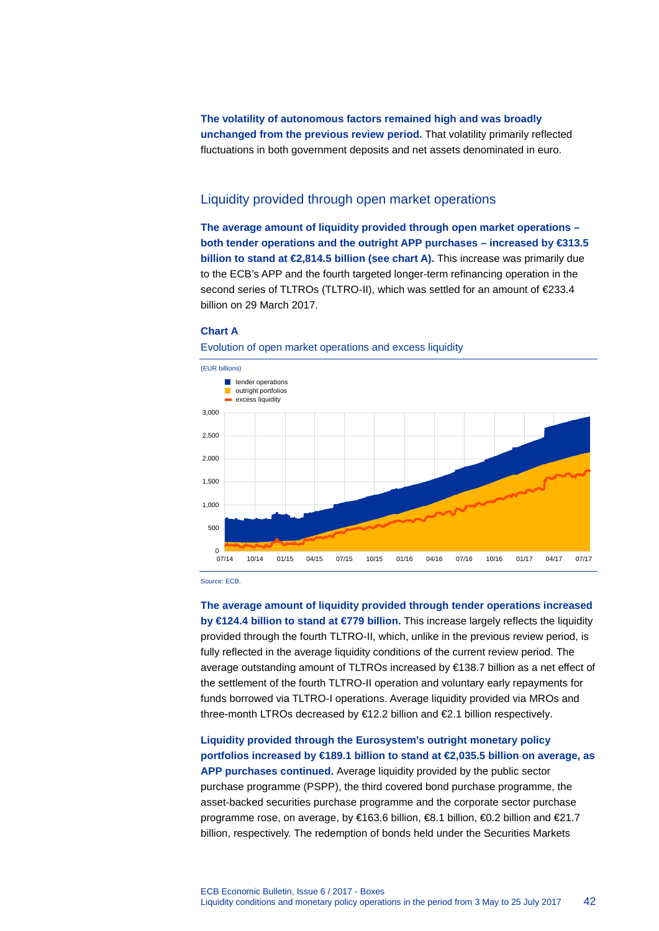**The volatility of autonomous factors remained high and was broadly unchanged from the previous review period.** That volatility primarily reflected fluctuations in both government deposits and net assets denominated in euro.

## Liquidity provided through open market operations

**The average amount of liquidity provided through open market operations – both tender operations and the outright APP purchases – increased by €313.5 billion to stand at €2,814.5 billion (see chart A).** This increase was primarily due to the ECB's APP and the fourth targeted longer-term refinancing operation in the second series of TLTROs (TLTRO-II), which was settled for an amount of €233.4 billion on 29 March 2017.

#### **Chart A**





Source: ECB.

**The average amount of liquidity provided through tender operations increased by €124.4 billion to stand at €779 billion.** This increase largely reflects the liquidity provided through the fourth TLTRO-II, which, unlike in the previous review period, is fully reflected in the average liquidity conditions of the current review period. The average outstanding amount of TLTROs increased by €138.7 billion as a net effect of the settlement of the fourth TLTRO-II operation and voluntary early repayments for funds borrowed via TLTRO-I operations. Average liquidity provided via MROs and three-month LTROs decreased by €12.2 billion and €2.1 billion respectively.

### **Liquidity provided through the Eurosystem's outright monetary policy portfolios increased by €189.1 billion to stand at €2,035.5 billion on average, as APP purchases continued.** Average liquidity provided by the public sector

purchase programme (PSPP), the third covered bond purchase programme, the asset-backed securities purchase programme and the corporate sector purchase programme rose, on average, by €163.6 billion, €8.1 billion, €0.2 billion and €21.7 billion, respectively. The redemption of bonds held under the Securities Markets